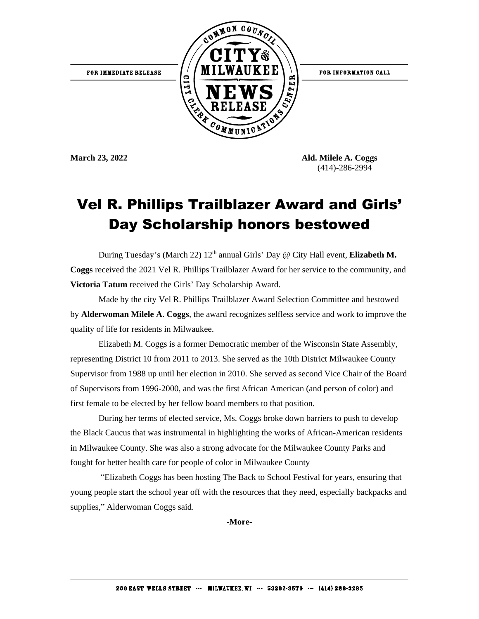

**March 23, 2022 Ald. Milele A. Coggs** (414)-286-2994

## Vel R. Phillips Trailblazer Award and Girls' Day Scholarship honors bestowed

During Tuesday's (March 22) 12<sup>th</sup> annual Girls' Day @ City Hall event, **Elizabeth M. Coggs** received the 2021 Vel R. Phillips Trailblazer Award for her service to the community, and **Victoria Tatum** received the Girls' Day Scholarship Award.

Made by the city Vel R. Phillips Trailblazer Award Selection Committee and bestowed by **Alderwoman Milele A. Coggs**, the award recognizes selfless service and work to improve the quality of life for residents in Milwaukee.

Elizabeth M. Coggs is a former Democratic member of the Wisconsin State Assembly, representing District 10 from 2011 to 2013. She served as the 10th District Milwaukee County Supervisor from 1988 up until her election in 2010. She served as second Vice Chair of the Board of Supervisors from 1996-2000, and was the first African American (and person of color) and first female to be elected by her fellow board members to that position.

During her terms of elected service, Ms. Coggs broke down barriers to push to develop the Black Caucus that was instrumental in highlighting the works of African-American residents in Milwaukee County. She was also a strong advocate for the Milwaukee County Parks and fought for better health care for people of color in Milwaukee County

"Elizabeth Coggs has been hosting The Back to School Festival for years, ensuring that young people start the school year off with the resources that they need, especially backpacks and supplies," Alderwoman Coggs said.

**-More-**